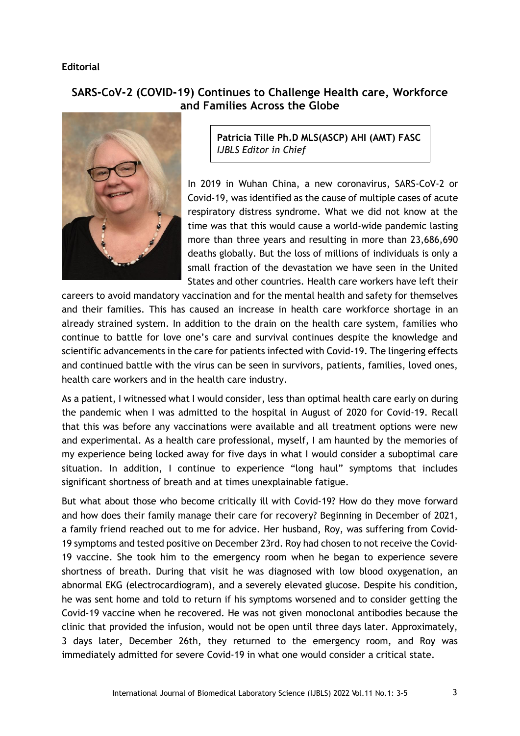## **Editorial**

## **SARS-CoV-2 (COVID-19) Continues to Challenge Health care, Workforce and Families Across the Globe**



**Patricia Tille Ph.D MLS(ASCP) AHI (AMT) FASC** *IJBLS Editor in Chief*

In 2019 in Wuhan China, a new coronavirus, SARS-CoV-2 or Covid-19, was identified as the cause of multiple cases of acute respiratory distress syndrome. What we did not know at the time was that this would cause a world-wide pandemic lasting more than three years and resulting in more than 23,686,690 deaths globally. But the loss of millions of individuals is only a small fraction of the devastation we have seen in the United States and other countries. Health care workers have left their

careers to avoid mandatory vaccination and for the mental health and safety for themselves and their families. This has caused an increase in health care workforce shortage in an already strained system. In addition to the drain on the health care system, families who continue to battle for love one's care and survival continues despite the knowledge and scientific advancements in the care for patients infected with Covid-19. The lingering effects and continued battle with the virus can be seen in survivors, patients, families, loved ones, health care workers and in the health care industry.

As a patient, I witnessed what I would consider, less than optimal health care early on during the pandemic when I was admitted to the hospital in August of 2020 for Covid-19. Recall that this was before any vaccinations were available and all treatment options were new and experimental. As a health care professional, myself, I am haunted by the memories of my experience being locked away for five days in what I would consider a suboptimal care situation. In addition, I continue to experience "long haul" symptoms that includes significant shortness of breath and at times unexplainable fatigue.

But what about those who become critically ill with Covid-19? How do they move forward and how does their family manage their care for recovery? Beginning in December of 2021, a family friend reached out to me for advice. Her husband, Roy, was suffering from Covid-19 symptoms and tested positive on December 23rd. Roy had chosen to not receive the Covid-19 vaccine. She took him to the emergency room when he began to experience severe shortness of breath. During that visit he was diagnosed with low blood oxygenation, an abnormal EKG (electrocardiogram), and a severely elevated glucose. Despite his condition, he was sent home and told to return if his symptoms worsened and to consider getting the Covid-19 vaccine when he recovered. He was not given monoclonal antibodies because the clinic that provided the infusion, would not be open until three days later. Approximately, 3 days later, December 26th, they returned to the emergency room, and Roy was immediately admitted for severe Covid-19 in what one would consider a critical state.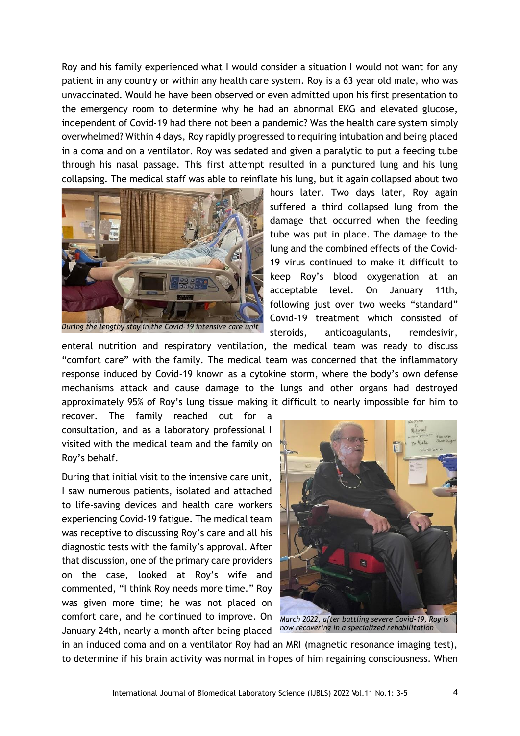Roy and his family experienced what I would consider a situation I would not want for any patient in any country or within any health care system. Roy is a 63 year old male, who was unvaccinated. Would he have been observed or even admitted upon his first presentation to the emergency room to determine why he had an abnormal EKG and elevated glucose, independent of Covid-19 had there not been a pandemic? Was the health care system simply overwhelmed? Within 4 days, Roy rapidly progressed to requiring intubation and being placed in a coma and on a ventilator. Roy was sedated and given a paralytic to put a feeding tube through his nasal passage. This first attempt resulted in a punctured lung and his lung collapsing. The medical staff was able to reinflate his lung, but it again collapsed about two



*During the lengthy stay in the Covid-19 intensive care unit*

hours later. Two days later, Roy again suffered a third collapsed lung from the damage that occurred when the feeding tube was put in place. The damage to the lung and the combined effects of the Covid-19 virus continued to make it difficult to keep Roy's blood oxygenation at an acceptable level. On January 11th, following just over two weeks "standard" Covid-19 treatment which consisted of steroids, anticoagulants, remdesivir,

enteral nutrition and respiratory ventilation, the medical team was ready to discuss "comfort care" with the family. The medical team was concerned that the inflammatory response induced by Covid-19 known as a cytokine storm, where the body's own defense mechanisms attack and cause damage to the lungs and other organs had destroyed approximately 95% of Roy's lung tissue making it difficult to nearly impossible for him to

recover. The family reached out for a consultation, and as a laboratory professional I visited with the medical team and the family on Roy's behalf.

During that initial visit to the intensive care unit, I saw numerous patients, isolated and attached to life-saving devices and health care workers experiencing Covid-19 fatigue. The medical team was receptive to discussing Roy's care and all his diagnostic tests with the family's approval. After that discussion, one of the primary care providers on the case, looked at Roy's wife and commented, "I think Roy needs more time." Roy was given more time; he was not placed on comfort care, and he continued to improve. On January 24th, nearly a month after being placed



in an induced coma and on a ventilator Roy had an MRI (magnetic resonance imaging test), to determine if his brain activity was normal in hopes of him regaining consciousness. When

*facility.*